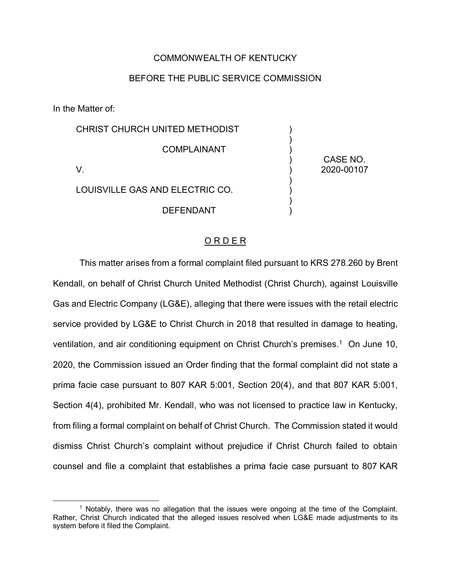## COMMONWEALTH OF KENTUCKY

## BEFORE THE PUBLIC SERVICE COMMISSION

In the Matter of:

 $\overline{a}$ 

| CHRIST CHURCH UNITED METHODIST  |                        |
|---------------------------------|------------------------|
| <b>COMPLAINANT</b>              |                        |
|                                 | CASE NO.<br>2020-00107 |
| LOUISVILLE GAS AND ELECTRIC CO. |                        |
| DEFENDANT                       |                        |

## O R D E R

This matter arises from a formal complaint filed pursuant to KRS 278.260 by Brent Kendall, on behalf of Christ Church United Methodist (Christ Church), against Louisville Gas and Electric Company (LG&E), alleging that there were issues with the retail electric service provided by LG&E to Christ Church in 2018 that resulted in damage to heating, ventilation, and air conditioning equipment on Christ Church's premises.<sup>1</sup> On June 10, 2020, the Commission issued an Order finding that the formal complaint did not state a prima facie case pursuant to 807 KAR 5:001, Section 20(4), and that 807 KAR 5:001, Section 4(4), prohibited Mr. Kendall, who was not licensed to practice law in Kentucky, from filing a formal complaint on behalf of Christ Church. The Commission stated it would dismiss Christ Church's complaint without prejudice if Christ Church failed to obtain counsel and file a complaint that establishes a prima facie case pursuant to 807 KAR

<sup>1</sup> Notably, there was no allegation that the issues were ongoing at the time of the Complaint. Rather, Christ Church indicated that the alleged issues resolved when LG&E made adjustments to its system before it filed the Complaint.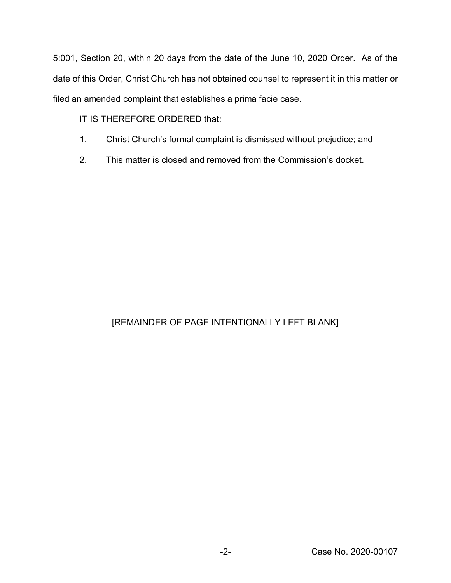5:001, Section 20, within 20 days from the date of the June 10, 2020 Order. As of the date of this Order, Christ Church has not obtained counsel to represent it in this matter or filed an amended complaint that establishes a prima facie case.

IT IS THEREFORE ORDERED that:

- 1. Christ Church's formal complaint is dismissed without prejudice; and
- 2. This matter is closed and removed from the Commission's docket.

## [REMAINDER OF PAGE INTENTIONALLY LEFT BLANK]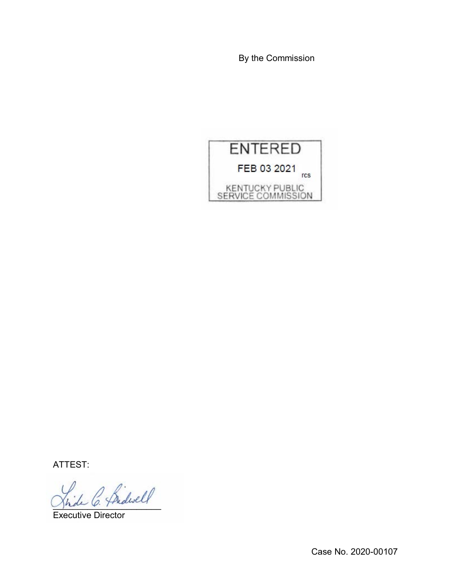By the Commission



ATTEST:

L C. Pridwell

Executive Director

Case No. 2020-00107